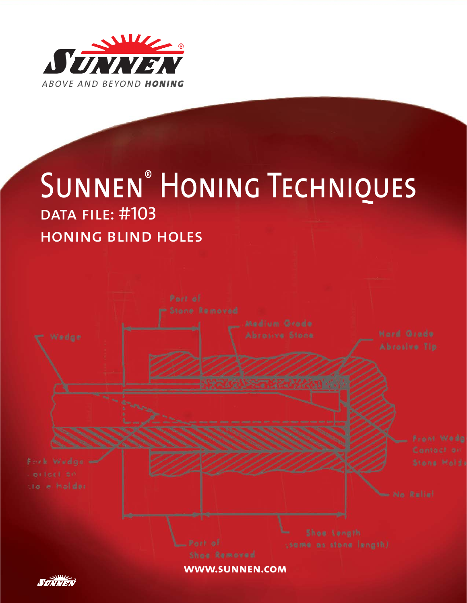

# SUNNEN<sup>®</sup> HONING TECHNIQUES data file: #103 honing blind holes

**www.sunnen.com**

<u>Милля</u>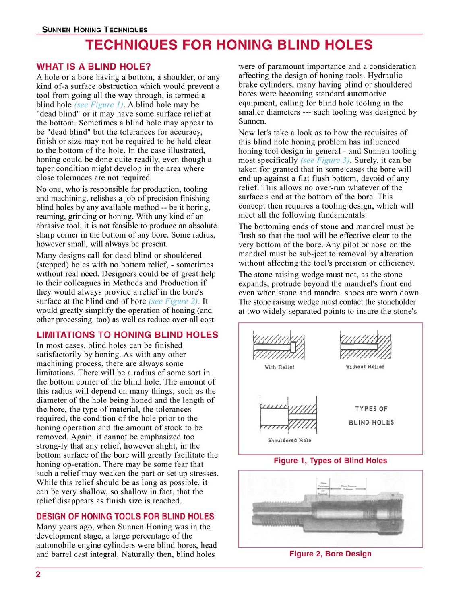# **TECHNIQUES FOR HONING BLIND HOLES**

# **WHAT IS A BLIND HOLE?**

A hole or a bore having a bottom, a shoulder, or any kind of-a surface obstruction which would prevent a tool from going all the way through, is termed a blind hole (see Figure 1). A blind hole may be "dead blind" or it may have some surface relief at the bottom. Sometimes a blind hole may appear to be "dead blind" but the tolerances for accuracy, finish or size may not be required to be held clear to the bottom of the hole. In the case illustrated, honing could be done quite readily, even though a taper condition might develop in the area where close tolerances are not required.

No one, who is responsible for production, tooling and machining, relishes a job of precision finishing blind holes by any available method -- be it boring, reaming, grinding or honing. With any kind of an abrasive tool, it is not feasible to produce an absolute sharp corner in the bottom of any bore. Some radius, however small, will always be present.

Many designs call for dead blind or shouldered (stepped) holes with no bottom relief, - sometimes without real need. Designers could be of great help to their colleagues in Methods and Production if they would always provide a relief in the bore's surface at the blind end of bore (see Figure 2). It would greatly simplify the operation of honing (and other processing, too) as well as reduce over-all cost.

# **LIMITATIONS TO HONING BLIND HOLES**

In most cases, blind holes can be finished satisfactorily by honing. As with any other machining process, there are always some limitations. There will be a radius of some sort in the bottom corner of the blind hole. The amount of this radius will depend on many things, such as the diameter of the hole being honed and the length of the bore, the type of material, the tolerances required, the condition of the hole prior to the honing operation and the amount of stock to be removed. Again, it cannot be emphasized too strong-ly that any relief, however slight, in the bottom surface of the bore will greatly facilitate the honing op-eration. There may be some fear that such a relief may weaken the part or set up stresses. While this relief should be as long as possible, it can be very shallow, so shallow in fact, that the relief disappears as finish size is reached.

# **DESIGN OF HONING TOOLS FOR BLIND HOLES**

Many years ago, when Sunnen Honing was in the development stage, a large percentage of the automobile engine cylinders were blind bores, head and barrel cast integral. Naturally then, blind holes

were of paramount importance and a consideration affecting the design of honing tools. Hydraulic brake cylinders, many having blind or shouldered bores were becoming standard automotive equipment, calling for blind hole tooling in the smaller diameters --- such tooling was designed by Sunnen.

Now let's take a look as to how the requisites of this blind hole honing problem has influenced honing tool design in general - and Sunnen tooling most specifically (see Figure 3). Surely, it can be taken for granted that in some cases the bore will end up against a flat flush bottom, devoid of any relief. This allows no over-run whatever of the surface's end at the bottom of the bore. This concept then requires a tooling design, which will meet all the following fundamentals.

The bottoming ends of stone and mandrel must be flush so that the tool will be effective clear to the very bottom of the bore. Any pilot or nose on the mandrel must be sub-ject to removal by alteration without affecting the tool's precision or efficiency.

The stone raising wedge must not, as the stone expands, protrude beyond the mandrel's front end even when stone and mandrel shoes are worn down. The stone raising wedge must contact the stoneholder at two widely separated points to insure the stone's



**Figure 1, Types of Blind Holes** 



**Figure 2, Bore Design**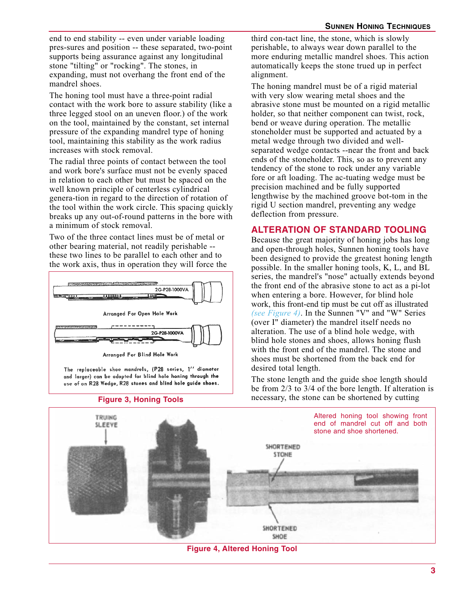end to end stability -- even under variable loading pres-sures and position -- these separated, two-point supports being assurance against any longitudinal stone "tilting" or "rocking". The stones, in expanding, must not overhang the front end of the mandrel shoes.

The honing tool must have a three-point radial contact with the work bore to assure stability (like a three legged stool on an uneven floor.) of the work on the tool, maintained by the constant, set internal pressure of the expanding mandrel type of honing tool, maintaining this stability as the work radius increases with stock removal.

The radial three points of contact between the tool and work bore's surface must not be evenly spaced in relation to each other but must be spaced on the well known principle of centerless cylindrical genera-tion in regard to the direction of rotation of the tool within the work circle. This spacing quickly breaks up any out-of-round patterns in the bore with a minimum of stock removal.

Two of the three contact lines must be of metal or other bearing material, not readily perishable - these two lines to be parallel to each other and to the work axis, thus in operation they will force the



The replaceable shoe mandrels, (P28 series, 1" diameter and larger) can be adapted for blind hole honing through the use of an R28 Wedge, R28 stones and blind hole guide shoes.



third con-tact line, the stone, which is slowly perishable, to always wear down parallel to the more enduring metallic mandrel shoes. This action automatically keeps the stone trued up in perfect alignment.

The honing mandrel must be of a rigid material with very slow wearing metal shoes and the abrasive stone must be mounted on a rigid metallic holder, so that neither component can twist, rock, bend or weave during operation. The metallic stoneholder must be supported and actuated by a metal wedge through two divided and wellseparated wedge contacts --near the front and back ends of the stoneholder. This, so as to prevent any tendency of the stone to rock under any variable fore or aft loading. The ac-tuating wedge must be precision machined and be fully supported lengthwise by the machined groove bot-tom in the rigid U section mandrel, preventing any wedge deflection from pressure.

# **ALTERATION OF STANDARD TOOLING**

Because the great majority of honing jobs has long and open-through holes, Sunnen honing tools have been designed to provide the greatest honing length possible. In the smaller honing tools, K, L, and BL series, the mandrel's "nose" actually extends beyond the front end of the abrasive stone to act as a pi-lot when entering a bore. However, for blind hole work, this front-end tip must be cut off as illustrated *(see Figure 4)*. In the Sunnen "V" and "W" Series (over I" diameter) the mandrel itself needs no alteration. The use of a blind hole wedge, with blind hole stones and shoes, allows honing flush with the front end of the mandrel. The stone and shoes must be shortened from the back end for desired total length.

The stone length and the guide shoe length should be from 2/3 to 3/4 of the bore length. If alteration is **Figure 3, Honing Tools** necessary, the stone can be shortened by cutting



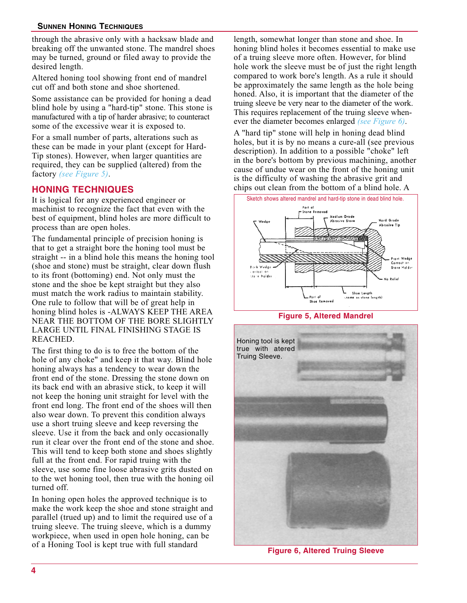# **SUNNEN HONING TECHNIQUES**

through the abrasive only with a hacksaw blade and breaking off the unwanted stone. The mandrel shoes may be turned, ground or filed away to provide the desired length.

Altered honing tool showing front end of mandrel cut off and both stone and shoe shortened.

Some assistance can be provided for honing a dead blind hole by using a "hard-tip" stone. This stone is manufactured with a tip of harder abrasive; to counteract some of the excessive wear it is exposed to.

For a small number of parts, alterations such as these can be made in your plant (except for Hard-Tip stones). However, when larger quantities are required, they can be supplied (altered) from the factory *(see Figure 5)*.

# **HONING TECHNIQUES**

It is logical for any experienced engineer or machinist to recognize the fact that even with the best of equipment, blind holes are more difficult to process than are open holes.

The fundamental principle of precision honing is that to get a straight bore the honing tool must be straight -- in a blind hole this means the honing tool (shoe and stone) must be straight, clear down flush to its front (bottoming) end. Not only must the stone and the shoe be kept straight but they also must match the work radius to maintain stability. One rule to follow that will be of great help in honing blind holes is -ALWAYS KEEP THE AREA NEAR THE BOTTOM OF THE BORE SLIGHTLY LARGE UNTIL FINAL FINISHING STAGE IS REACHED.

The first thing to do is to free the bottom of the hole of any choke" and keep it that way. Blind hole honing always has a tendency to wear down the front end of the stone. Dressing the stone down on its back end with an abrasive stick, to keep it will not keep the honing unit straight for level with the front end long. The front end of the shoes will then also wear down. To prevent this condition always use a short truing sleeve and keep reversing the sleeve. Use it from the back and only occasionally run it clear over the front end of the stone and shoe. This will tend to keep both stone and shoes slightly full at the front end. For rapid truing with the sleeve, use some fine loose abrasive grits dusted on to the wet honing tool, then true with the honing oil turned off.

In honing open holes the approved technique is to make the work keep the shoe and stone straight and parallel (trued up) and to limit the required use of a truing sleeve. The truing sleeve, which is a dummy workpiece, when used in open hole honing, can be of a Honing Tool is kept true with full standard

length, somewhat longer than stone and shoe. In honing blind holes it becomes essential to make use of a truing sleeve more often. However, for blind hole work the sleeve must be of just the right length compared to work bore's length. As a rule it should be approximately the same length as the hole being honed. Also, it is important that the diameter of the truing sleeve be very near to the diameter of the work. This requires replacement of the truing sleeve whenever the diameter becomes enlarged *(see Figure 6)*.

A "hard tip" stone will help in honing dead blind holes, but it is by no means a cure-all (see previous description). In addition to a possible "choke" left in the bore's bottom by previous machining, another cause of undue wear on the front of the honing unit is the difficulty of washing the abrasive grit and chips out clean from the bottom of a blind hole. A







**Figure 6, Altered Truing Sleeve**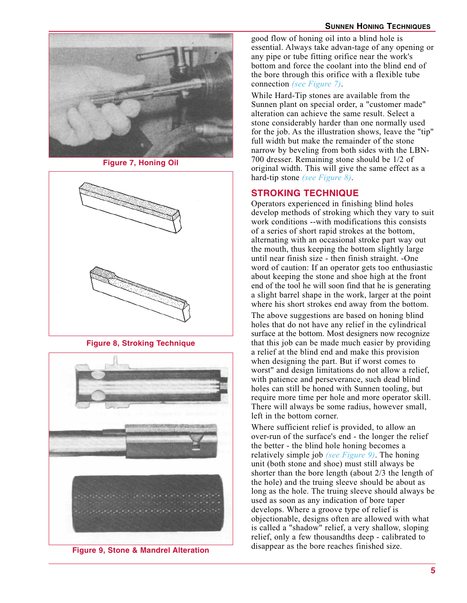# **SUNNEN HONING TECHNIQUES**



**Figure 7, Honing Oil**



**Figure 8, Stroking Technique**



**Figure 9, Stone & Mandrel Alteration**

good flow of honing oil into a blind hole is essential. Always take advan-tage of any opening or any pipe or tube fitting orifice near the work's bottom and force the coolant into the blind end of the bore through this orifice with a flexible tube connection *(see Figure 7)*.

While Hard-Tip stones are available from the Sunnen plant on special order, a "customer made" alteration can achieve the same result. Select a stone considerably harder than one normally used for the job. As the illustration shows, leave the "tip" full width but make the remainder of the stone narrow by beveling from both sides with the LBN-700 dresser. Remaining stone should be 1/2 of original width. This will give the same effect as a hard-tip stone *(see Figure 8)*.

# **STROKING TECHNIQUE**

Operators experienced in finishing blind holes develop methods of stroking which they vary to suit work conditions --with modifications this consists of a series of short rapid strokes at the bottom, alternating with an occasional stroke part way out the mouth, thus keeping the bottom slightly large until near finish size - then finish straight. -One word of caution: If an operator gets too enthusiastic about keeping the stone and shoe high at the front end of the tool he will soon find that he is generating a slight barrel shape in the work, larger at the point where his short strokes end away from the bottom.

The above suggestions are based on honing blind holes that do not have any relief in the cylindrical surface at the bottom. Most designers now recognize that this job can be made much easier by providing a relief at the blind end and make this provision when designing the part. But if worst comes to worst" and design limitations do not allow a relief, with patience and perseverance, such dead blind holes can still be honed with Sunnen tooling, but require more time per hole and more operator skill. There will always be some radius, however small, left in the bottom corner.

Where sufficient relief is provided, to allow an over-run of the surface's end - the longer the relief the better - the blind hole honing becomes a relatively simple job *(see Figure 9)*. The honing unit (both stone and shoe) must still always be shorter than the bore length (about 2/3 the length of the hole) and the truing sleeve should be about as long as the hole. The truing sleeve should always be used as soon as any indication of bore taper develops. Where a groove type of relief is objectionable, designs often are allowed with what is called a "shadow" relief, a very shallow, sloping relief, only a few thousandths deep - calibrated to disappear as the bore reaches finished size.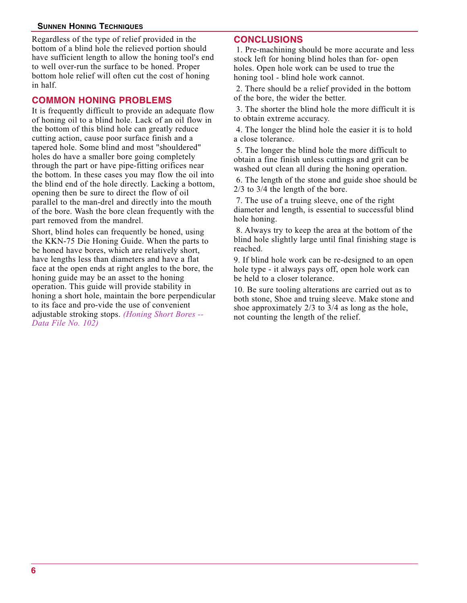# **SUNNEN HONING TECHNIQUES**

Regardless of the type of relief provided in the bottom of a blind hole the relieved portion should have sufficient length to allow the honing tool's end to well over-run the surface to be honed. Proper bottom hole relief will often cut the cost of honing in half.

# **COMMON HONING PROBLEMS**

It is frequently difficult to provide an adequate flow of honing oil to a blind hole. Lack of an oil flow in the bottom of this blind hole can greatly reduce cutting action, cause poor surface finish and a tapered hole. Some blind and most "shouldered" holes do have a smaller bore going completely through the part or have pipe-fitting orifices near the bottom. In these cases you may flow the oil into the blind end of the hole directly. Lacking a bottom, opening then be sure to direct the flow of oil parallel to the man-drel and directly into the mouth of the bore. Wash the bore clean frequently with the part removed from the mandrel.

Short, blind holes can frequently be honed, using the KKN-75 Die Honing Guide. When the parts to be honed have bores, which are relatively short, have lengths less than diameters and have a flat face at the open ends at right angles to the bore, the honing guide may be an asset to the honing operation. This guide will provide stability in honing a short hole, maintain the bore perpendicular to its face and pro-vide the use of convenient adjustable stroking stops. *(Honing Short Bores -- Data File No. 102)*

# **CONCLUSIONS**

1. Pre-machining should be more accurate and less stock left for honing blind holes than for- open holes. Open hole work can be used to true the honing tool - blind hole work cannot.

2. There should be a relief provided in the bottom of the bore, the wider the better.

3. The shorter the blind hole the more difficult it is to obtain extreme accuracy.

4. The longer the blind hole the easier it is to hold a close tolerance.

5. The longer the blind hole the more difficult to obtain a fine finish unless cuttings and grit can be washed out clean all during the honing operation.

6. The length of the stone and guide shoe should be 2/3 to 3/4 the length of the bore.

7. The use of a truing sleeve, one of the right diameter and length, is essential to successful blind hole honing.

8. Always try to keep the area at the bottom of the blind hole slightly large until final finishing stage is reached.

9. If blind hole work can be re-designed to an open hole type - it always pays off, open hole work can be held to a closer tolerance.

10. Be sure tooling alterations are carried out as to both stone, Shoe and truing sleeve. Make stone and shoe approximately 2/3 to 3/4 as long as the hole, not counting the length of the relief.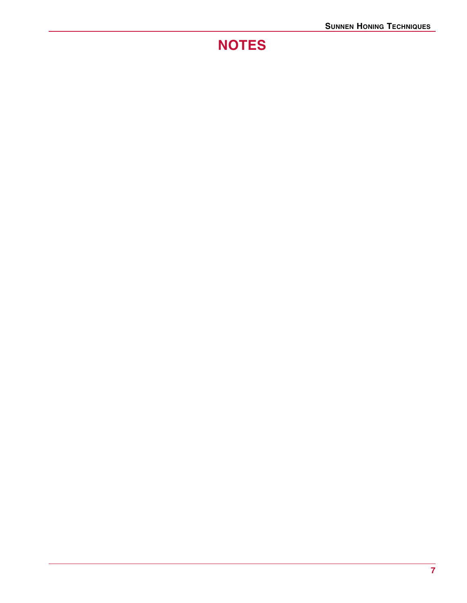# **NOTES**